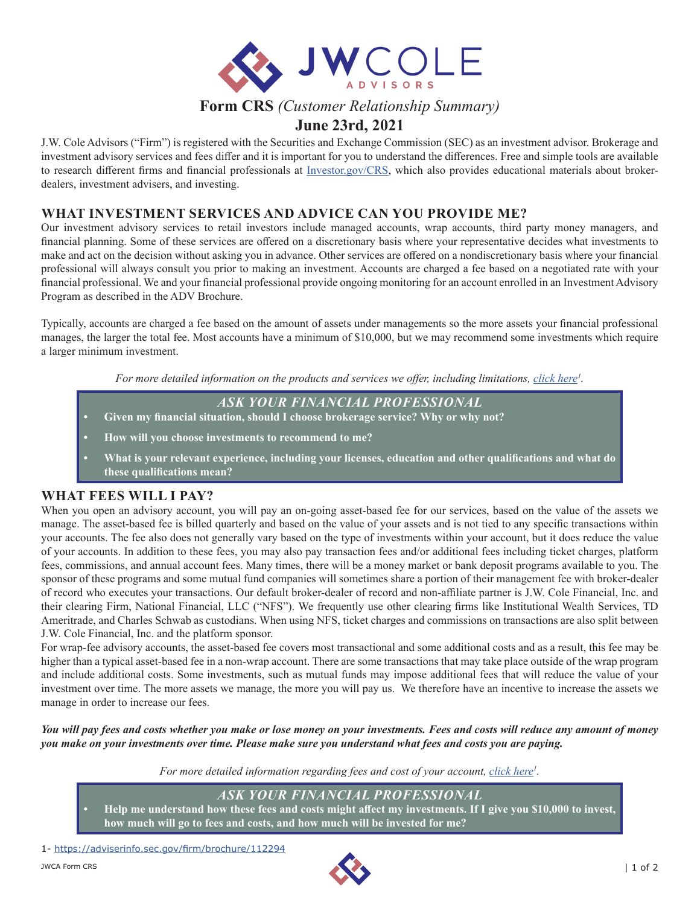

# **Form CRS** *(Customer Relationship Summary)*

# **June 23rd, 2021**

J.W. Cole Advisors ("Firm") is registered with the Securities and Exchange Commission (SEC) as an investment advisor. Brokerage and investment advisory services and fees differ and it is important for you to understand the differences. Free and simple tools are available to research different firms and financial professionals at [Investor.gov/CRS](http://Investor.gov/CRS), which also provides educational materials about brokerdealers, investment advisers, and investing.

## **WHAT INVESTMENT SERVICES AND ADVICE CAN YOU PROVIDE ME?**

Our investment advisory services to retail investors include managed accounts, wrap accounts, third party money managers, and financial planning. Some of these services are offered on a discretionary basis where your representative decides what investments to make and act on the decision without asking you in advance. Other services are offered on a nondiscretionary basis where your financial professional will always consult you prior to making an investment. Accounts are charged a fee based on a negotiated rate with your financial professional. We and your financial professional provide ongoing monitoring for an account enrolled in an Investment Advisory Program as described in the ADV Brochure.

Typically, accounts are charged a fee based on the amount of assets under managements so the more assets your financial professional manages, the larger the total fee. Most accounts have a minimum of \$10,000, but we may recommend some investments which require a larger minimum investment.

For more detailed information on the products and services we offer, including limitations, *[click here](https://adviserinfo.sec.gov/firm/brochure/112294)<sup>1</sup>*.

*ASK YOUR FINANCIAL PROFESSIONAL*

- **• Given my financial situation, should I choose brokerage service? Why or why not?**
- **• How will you choose investments to recommend to me?**
- **• What is your relevant experience, including your licenses, education and other qualifications and what do these qualifications mean?**

## **WHAT FEES WILL I PAY?**

When you open an advisory account, you will pay an on-going asset-based fee for our services, based on the value of the assets we manage. The asset-based fee is billed quarterly and based on the value of your assets and is not tied to any specific transactions within your accounts. The fee also does not generally vary based on the type of investments within your account, but it does reduce the value of your accounts. In addition to these fees, you may also pay transaction fees and/or additional fees including ticket charges, platform fees, commissions, and annual account fees. Many times, there will be a money market or bank deposit programs available to you. The sponsor of these programs and some mutual fund companies will sometimes share a portion of their management fee with broker-dealer of record who executes your transactions. Our default broker-dealer of record and non-affiliate partner is J.W. Cole Financial, Inc. and their clearing Firm, National Financial, LLC ("NFS"). We frequently use other clearing firms like Institutional Wealth Services, TD Ameritrade, and Charles Schwab as custodians. When using NFS, ticket charges and commissions on transactions are also split between J.W. Cole Financial, Inc. and the platform sponsor.

For wrap-fee advisory accounts, the asset-based fee covers most transactional and some additional costs and as a result, this fee may be higher than a typical asset-based fee in a non-wrap account. There are some transactions that may take place outside of the wrap program and include additional costs. Some investments, such as mutual funds may impose additional fees that will reduce the value of your investment over time. The more assets we manage, the more you will pay us. We therefore have an incentive to increase the assets we manage in order to increase our fees.

*You will pay fees and costs whether you make or lose money on your investments. Fees and costs will reduce any amount of money you make on your investments over time. Please make sure you understand what fees and costs you are paying.*

For more detailed information regarding fees and cost of your account, *click here<sup>1</sup>*.

## *ASK YOUR FINANCIAL PROFESSIONAL*

**• Help me understand how these fees and costs might affect my investments. If I give you \$10,000 to invest, how much will go to fees and costs, and how much will be invested for me?**

1- <https://adviserinfo.sec.gov/firm/brochure/112294>